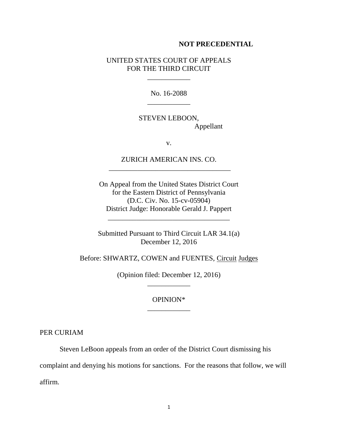## **NOT PRECEDENTIAL**

## UNITED STATES COURT OF APPEALS FOR THE THIRD CIRCUIT

\_\_\_\_\_\_\_\_\_\_\_\_

No. 16-2088 \_\_\_\_\_\_\_\_\_\_\_\_

STEVEN LEBOON, Appellant

v.

ZURICH AMERICAN INS. CO. \_\_\_\_\_\_\_\_\_\_\_\_\_\_\_\_\_\_\_\_\_\_\_\_\_\_\_\_\_\_\_\_\_\_

On Appeal from the United States District Court for the Eastern District of Pennsylvania (D.C. Civ. No. 15-cv-05904) District Judge: Honorable Gerald J. Pappert

Submitted Pursuant to Third Circuit LAR 34.1(a) December 12, 2016

\_\_\_\_\_\_\_\_\_\_\_\_\_\_\_\_\_\_\_\_\_\_\_\_\_\_\_\_\_\_\_\_\_\_

Before: SHWARTZ, COWEN and FUENTES, Circuit Judges

(Opinion filed: December 12, 2016) \_\_\_\_\_\_\_\_\_\_\_\_

## OPINION\* \_\_\_\_\_\_\_\_\_\_\_\_

PER CURIAM

Steven LeBoon appeals from an order of the District Court dismissing his

complaint and denying his motions for sanctions. For the reasons that follow, we will affirm.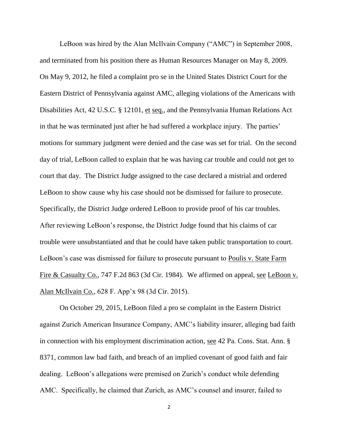LeBoon was hired by the Alan McIlvain Company ("AMC") in September 2008, and terminated from his position there as Human Resources Manager on May 8, 2009. On May 9, 2012, he filed a complaint pro se in the United States District Court for the Eastern District of Pennsylvania against AMC, alleging violations of the Americans with Disabilities Act, 42 U.S.C. § 12101, et seq., and the Pennsylvania Human Relations Act in that he was terminated just after he had suffered a workplace injury. The parties' motions for summary judgment were denied and the case was set for trial. On the second day of trial, LeBoon called to explain that he was having car trouble and could not get to court that day. The District Judge assigned to the case declared a mistrial and ordered LeBoon to show cause why his case should not be dismissed for failure to prosecute. Specifically, the District Judge ordered LeBoon to provide proof of his car troubles. After reviewing LeBoon's response, the District Judge found that his claims of car trouble were unsubstantiated and that he could have taken public transportation to court. LeBoon's case was dismissed for failure to prosecute pursuant to Poulis v. State Farm Fire & Casualty Co., 747 F.2d 863 (3d Cir. 1984). We affirmed on appeal, see LeBoon v. Alan McIlvain Co., 628 F. App'x 98 (3d Cir. 2015).

On October 29, 2015, LeBoon filed a pro se complaint in the Eastern District against Zurich American Insurance Company, AMC's liability insurer, alleging bad faith in connection with his employment discrimination action, see 42 Pa. Cons. Stat. Ann. § 8371, common law bad faith, and breach of an implied covenant of good faith and fair dealing. LeBoon's allegations were premised on Zurich's conduct while defending AMC. Specifically, he claimed that Zurich, as AMC's counsel and insurer, failed to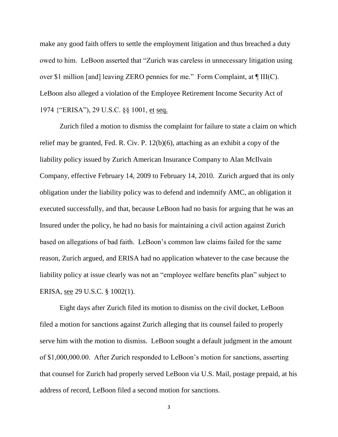make any good faith offers to settle the employment litigation and thus breached a duty owed to him. LeBoon asserted that "Zurich was careless in unnecessary litigation using over \$1 million [and] leaving ZERO pennies for me." Form Complaint, at ¶ III(C). LeBoon also alleged a violation of the Employee Retirement Income Security Act of 1974 {"ERISA"), 29 U.S.C. §§ 1001, et seq.

Zurich filed a motion to dismiss the complaint for failure to state a claim on which relief may be granted, Fed. R. Civ. P. 12(b)(6), attaching as an exhibit a copy of the liability policy issued by Zurich American Insurance Company to Alan McIlvain Company, effective February 14, 2009 to February 14, 2010. Zurich argued that its only obligation under the liability policy was to defend and indemnify AMC, an obligation it executed successfully, and that, because LeBoon had no basis for arguing that he was an Insured under the policy, he had no basis for maintaining a civil action against Zurich based on allegations of bad faith. LeBoon's common law claims failed for the same reason, Zurich argued, and ERISA had no application whatever to the case because the liability policy at issue clearly was not an "employee welfare benefits plan" subject to ERISA, see 29 U.S.C. § 1002(1).

Eight days after Zurich filed its motion to dismiss on the civil docket, LeBoon filed a motion for sanctions against Zurich alleging that its counsel failed to properly serve him with the motion to dismiss. LeBoon sought a default judgment in the amount of \$1,000,000.00. After Zurich responded to LeBoon's motion for sanctions, asserting that counsel for Zurich had properly served LeBoon via U.S. Mail, postage prepaid, at his address of record, LeBoon filed a second motion for sanctions.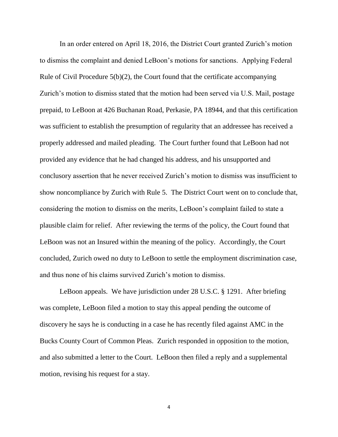In an order entered on April 18, 2016, the District Court granted Zurich's motion to dismiss the complaint and denied LeBoon's motions for sanctions. Applying Federal Rule of Civil Procedure 5(b)(2), the Court found that the certificate accompanying Zurich's motion to dismiss stated that the motion had been served via U.S. Mail, postage prepaid, to LeBoon at 426 Buchanan Road, Perkasie, PA 18944, and that this certification was sufficient to establish the presumption of regularity that an addressee has received a properly addressed and mailed pleading. The Court further found that LeBoon had not provided any evidence that he had changed his address, and his unsupported and conclusory assertion that he never received Zurich's motion to dismiss was insufficient to show noncompliance by Zurich with Rule 5. The District Court went on to conclude that, considering the motion to dismiss on the merits, LeBoon's complaint failed to state a plausible claim for relief. After reviewing the terms of the policy, the Court found that LeBoon was not an Insured within the meaning of the policy. Accordingly, the Court concluded, Zurich owed no duty to LeBoon to settle the employment discrimination case, and thus none of his claims survived Zurich's motion to dismiss.

LeBoon appeals. We have jurisdiction under 28 U.S.C. § 1291. After briefing was complete, LeBoon filed a motion to stay this appeal pending the outcome of discovery he says he is conducting in a case he has recently filed against AMC in the Bucks County Court of Common Pleas. Zurich responded in opposition to the motion, and also submitted a letter to the Court. LeBoon then filed a reply and a supplemental motion, revising his request for a stay.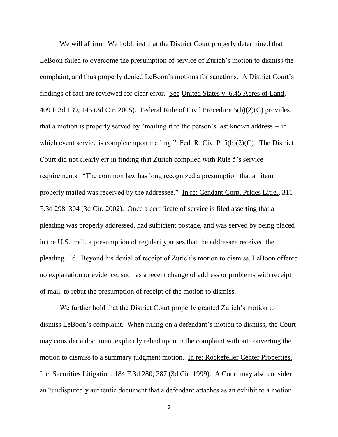We will affirm. We hold first that the District Court properly determined that LeBoon failed to overcome the presumption of service of Zurich's motion to dismiss the complaint, and thus properly denied LeBoon's motions for sanctions. A District Court's findings of fact are reviewed for clear error. See United States v. 6.45 Acres of Land, 409 F.3d 139, 145 (3d Cir. 2005). Federal Rule of Civil Procedure 5(b)(2)(C) provides that a motion is properly served by "mailing it to the person's last known address -- in which event service is complete upon mailing." Fed. R. Civ. P. 5(b)(2)(C). The District Court did not clearly err in finding that Zurich complied with Rule 5's service requirements. "The common law has long recognized a presumption that an item properly mailed was received by the addressee." In re: Cendant Corp. Prides Litig., 311 F.3d 298, 304 (3d Cir. 2002). Once a certificate of service is filed asserting that a pleading was properly addressed, had sufficient postage, and was served by being placed in the U.S. mail, a presumption of regularity arises that the addressee received the pleading. Id. Beyond his denial of receipt of Zurich's motion to dismiss, LeBoon offered no explanation or evidence, such as a recent change of address or problems with receipt of mail, to rebut the presumption of receipt of the motion to dismiss.

We further hold that the District Court properly granted Zurich's motion to dismiss LeBoon's complaint. When ruling on a defendant's motion to dismiss, the Court may consider a document explicitly relied upon in the complaint without converting the motion to dismiss to a summary judgment motion. In re: Rockefeller Center Properties, Inc. Securities Litigation, 184 F.3d 280, 287 (3d Cir. 1999). A Court may also consider an "undisputedly authentic document that a defendant attaches as an exhibit to a motion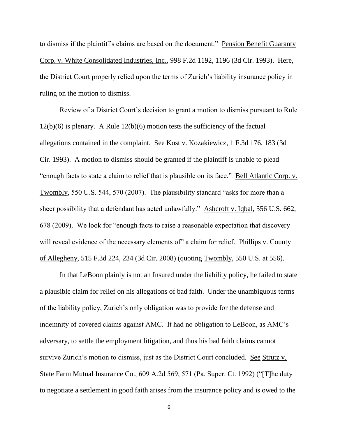to dismiss if the plaintiff's claims are based on the document." Pension Benefit Guaranty Corp. v. White Consolidated Industries, Inc., 998 F.2d 1192, 1196 (3d Cir. 1993). Here, the District Court properly relied upon the terms of Zurich's liability insurance policy in ruling on the motion to dismiss.

Review of a District Court's decision to grant a motion to dismiss pursuant to Rule 12(b)(6) is plenary. A Rule 12(b)(6) motion tests the sufficiency of the factual allegations contained in the complaint. See Kost v. Kozakiewicz, 1 F.3d 176, 183 (3d Cir. 1993). A motion to dismiss should be granted if the plaintiff is unable to plead "enough facts to state a claim to relief that is plausible on its face." Bell Atlantic Corp. v. Twombly, 550 U.S. 544, 570 (2007). The plausibility standard "asks for more than a sheer possibility that a defendant has acted unlawfully." Ashcroft v. Iqbal, 556 U.S. 662, 678 (2009). We look for "enough facts to raise a reasonable expectation that discovery will reveal evidence of the necessary elements of" a claim for relief. Phillips v. County of Allegheny, 515 F.3d 224, 234 (3d Cir. 2008) (quoting Twombly, 550 U.S. at 556).

In that LeBoon plainly is not an Insured under the liability policy, he failed to state a plausible claim for relief on his allegations of bad faith. Under the unambiguous terms of the liability policy, Zurich's only obligation was to provide for the defense and indemnity of covered claims against AMC. It had no obligation to LeBoon, as AMC's adversary, to settle the employment litigation, and thus his bad faith claims cannot survive Zurich's motion to dismiss, just as the District Court concluded. See Strutz v. State Farm Mutual Insurance Co., 609 A.2d 569, 571 (Pa. Super. Ct. 1992) ("[T]he duty to negotiate a settlement in good faith arises from the insurance policy and is owed to the